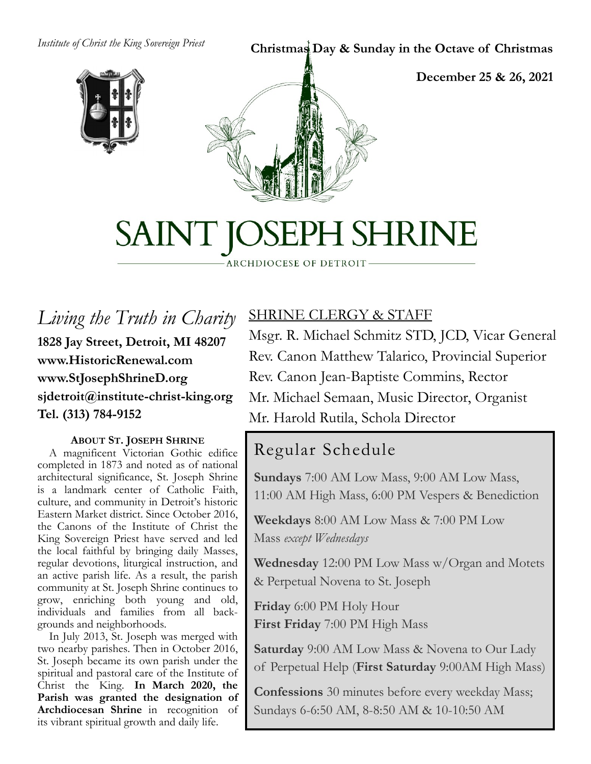*Institute of Christ the King Sovereign Priest*

#### **Christmas Day & Sunday in the Octave of Christmas**



**December 25 & 26, 2021**



# SAINT JOSEPH SHRINE

- ARCHDIOCESE OF DETROIT-

*Living the Truth in Charity* **1828 Jay Street, Detroit, MI 48207 www.HistoricRenewal.com www.StJosephShrineD.org sjdetroit@institute-christ-king.org Tel. (313) 784-9152**

#### **ABOUT ST. JOSEPH SHRINE**

 A magnificent Victorian Gothic edifice completed in 1873 and noted as of national architectural significance, St. Joseph Shrine is a landmark center of Catholic Faith, culture, and community in Detroit's historic Eastern Market district. Since October 2016, the Canons of the Institute of Christ the King Sovereign Priest have served and led the local faithful by bringing daily Masses, regular devotions, liturgical instruction, and an active parish life. As a result, the parish community at St. Joseph Shrine continues to grow, enriching both young and old, individuals and families from all backgrounds and neighborhoods.

 In July 2013, St. Joseph was merged with two nearby parishes. Then in October 2016, St. Joseph became its own parish under the spiritual and pastoral care of the Institute of Christ the King. **In March 2020, the Parish was granted the designation of Archdiocesan Shrine** in recognition of its vibrant spiritual growth and daily life.

## SHRINE CLERGY & STAFF

Msgr. R. Michael Schmitz STD, JCD, Vicar General Rev. Canon Matthew Talarico, Provincial Superior Rev. Canon Jean-Baptiste Commins, Rector Mr. Michael Semaan, Music Director, Organist Mr. Harold Rutila, Schola Director

## Regular Schedule

**Sundays** 7:00 AM Low Mass, 9:00 AM Low Mass, 11:00 AM High Mass, 6:00 PM Vespers & Benediction

**Weekdays** 8:00 AM Low Mass & 7:00 PM Low Mass *except Wednesdays*

**Wednesday** 12:00 PM Low Mass w/Organ and Motets & Perpetual Novena to St. Joseph

**Friday** 6:00 PM Holy Hour **First Friday** 7:00 PM High Mass

**Saturday** 9:00 AM Low Mass & Novena to Our Lady of Perpetual Help (**First Saturday** 9:00AM High Mass)

**Confessions** 30 minutes before every weekday Mass; Sundays 6-6:50 AM, 8-8:50 AM & 10-10:50 AM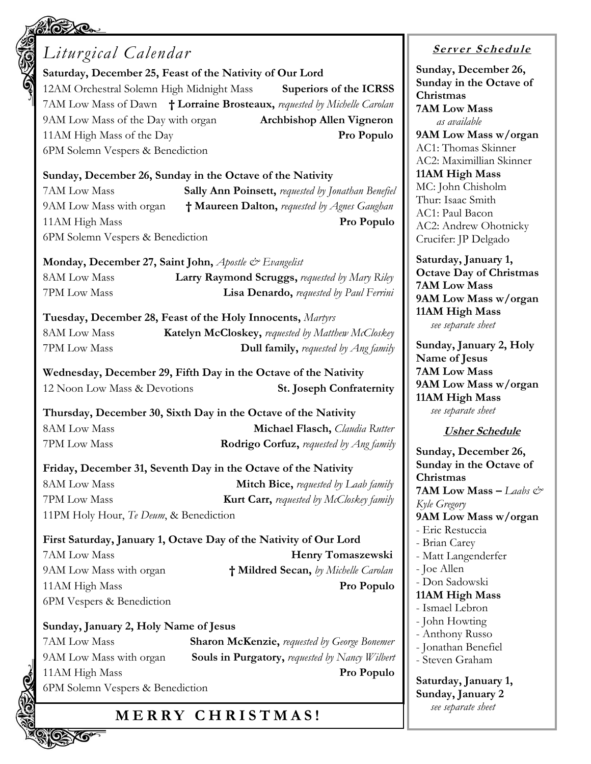## *Liturgical Calendar* **Saturday, December 25, Feast of the Nativity of Our Lord** 12AM Orchestral Solemn High Midnight Mass **Superiors of the ICRSS** 7AM Low Mass of Dawn **† Lorraine Brosteaux,** *requested by Michelle Carolan* 9AM Low Mass of the Day with organ **Archbishop Allen Vigneron** 11AM High Mass of the Day **Pro Populo** 6PM Solemn Vespers & Benediction **Sunday, December 26, Sunday in the Octave of the Nativity** 7AM Low Mass **Sally Ann Poinsett,** *requested by Jonathan Benefiel* 9AM Low Mass with organ **† Maureen Dalton,** *requested by Agnes Gaughan* 11AM High Mass **Pro Populo** 6PM Solemn Vespers & Benediction **Monday, December 27, Saint John,** *Apostle & Evangelist* 8AM Low Mass **Larry Raymond Scruggs,** *requested by Mary Riley* 7PM Low Mass **Lisa Denardo,** *requested by Paul Ferrini* **Tuesday, December 28, Feast of the Holy Innocents,** *Martyrs* 8AM Low Mass **Katelyn McCloskey,** *requested by Matthew McCloskey* 7PM Low Mass **Dull family,** *requested by Ang family* **Wednesday, December 29, Fifth Day in the Octave of the Nativity** 12 Noon Low Mass & Devotions **St. Joseph Confraternity Thursday, December 30, Sixth Day in the Octave of the Nativity** 8AM Low Mass **Michael Flasch,** *Claudia Rutter*  7PM Low Mass **Rodrigo Corfuz,** *requested by Ang family* **Friday, December 31, Seventh Day in the Octave of the Nativity** 8AM Low Mass **Mitch Bice,** *requested by Laab family* 7PM Low Mass **Kurt Carr,** *requested by McCloskey family* 11PM Holy Hour, *Te Deum*, & Benediction **First Saturday, January 1, Octave Day of the Nativity of Our Lord** 7AM Low Mass **Henry Tomaszewski** 9AM Low Mass with organ **† Mildred Secan,** *by Michelle Carolan*  11AM High Mass **Pro Populo** 6PM Vespers & Benediction **Sunday, January 2, Holy Name of Jesus** 7AM Low Mass **Sharon McKenzie,** *requested by George Bonemer* 9AM Low Mass with organ **Souls in Purgatory,** *requested by Nancy Wilbert* 11AM High Mass **Pro Populo** 6PM Solemn Vespers & Benediction

## **M E R R Y C H R I S T M A S !**

**<sup>S</sup> <sup>e</sup> rv er <sup>S</sup> <sup>c</sup> he du le**

**Sunday, December 26, Sunday in the Octave of Christmas 7AM Low Mass**  *as available* **9AM Low Mass w/organ** AC1: Thomas Skinner AC2: Maximillian Skinner **11AM High Mass** MC: John Chisholm Thur: Isaac Smith AC1: Paul Bacon AC2: Andrew Ohotnicky Crucifer: JP Delgado

**Saturday, January 1, Octave Day of Christmas 7AM Low Mass 9AM Low Mass w/organ 11AM High Mass** *see separate sheet*

**Sunday, January 2, Holy Name of Jesus 7AM Low Mass 9AM Low Mass w/organ 11AM High Mass** *see separate sheet*

#### **Usher Schedule**

**Sunday, December 26, Sunday in the Octave of Christmas 7AM Low Mass**  $-$  *Laabs*  $e^{\phi}$ *Kyle Gregory* **9AM Low Mass w/organ** - Eric Restuccia - Brian Carey - Matt Langenderfer - Joe Allen - Don Sadowski **11AM High Mass** - Ismael Lebron - John Howting - Anthony Russo - Jonathan Benefiel - Steven Graham **Saturday, January 1, Sunday, January 2** *see separate sheet*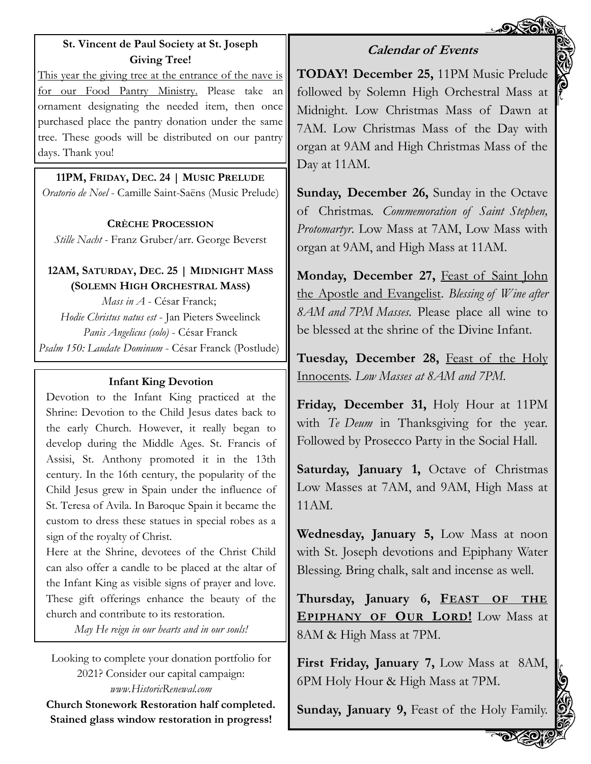#### **St. Vincent de Paul Society at St. Joseph Giving Tree!**

This year the giving tree at the entrance of the nave is for our Food Pantry Ministry. Please take an ornament designating the needed item, then once purchased place the pantry donation under the same tree. These goods will be distributed on our pantry days. Thank you!

**11PM, FRIDAY, DEC. 24 | MUSIC PRELUDE** *Oratorio de Noel* - Camille Saint-Saëns (Music Prelude)

**CRÈCHE PROCESSION** *Stille Nacht* - Franz Gruber/arr. George Beverst

#### **12AM, SATURDAY, DEC. 25 | MIDNIGHT MASS (SOLEMN HIGH ORCHESTRAL MASS)**

*Mass in A* - César Franck; *Hodie Christus natus est* - Jan Pieters Sweelinck *Panis Angelicus (solo)* - César Franck *Psalm 150: Laudate Dominum* - César Franck (Postlude)

#### **Infant King Devotion**

Devotion to the Infant King practiced at the Shrine: Devotion to the Child Jesus dates back to the early Church. However, it really began to develop during the Middle Ages. St. Francis of Assisi, St. Anthony promoted it in the 13th century. In the 16th century, the popularity of the Child Jesus grew in Spain under the influence of St. Teresa of Avila. In Baroque Spain it became the custom to dress these statues in special robes as a sign of the royalty of Christ.

Here at the Shrine, devotees of the Christ Child can also offer a candle to be placed at the altar of the Infant King as visible signs of prayer and love. These gift offerings enhance the beauty of the church and contribute to its restoration.

*May He reign in our hearts and in our souls!*

Looking to complete your donation portfolio for 2021? Consider our capital campaign: *www.HistoricRenewal.com* **Church Stonework Restoration half completed. Stained glass window restoration in progress!**

#### **Calendar of Events**

**TODAY! December 25,** 11PM Music Prelude followed by Solemn High Orchestral Mass at Midnight. Low Christmas Mass of Dawn at 7AM. Low Christmas Mass of the Day with organ at 9AM and High Christmas Mass of the Day at 11AM.

**Sunday, December 26,** Sunday in the Octave of Christmas. *Commemoration of Saint Stephen, Protomartyr*. Low Mass at 7AM, Low Mass with organ at 9AM, and High Mass at 11AM.

Monday, December 27, Feast of Saint John the Apostle and Evangelist. *Blessing of Wine after 8AM and 7PM Masses*. Please place all wine to be blessed at the shrine of the Divine Infant.

**Tuesday, December 28,** Feast of the Holy Innocents. *Low Masses at 8AM and 7PM*.

**Friday, December 31,** Holy Hour at 11PM with *Te Deum* in Thanksgiving for the year. Followed by Prosecco Party in the Social Hall.

**Saturday, January 1,** Octave of Christmas Low Masses at 7AM, and 9AM, High Mass at 11AM.

**Wednesday, January 5,** Low Mass at noon with St. Joseph devotions and Epiphany Water Blessing. Bring chalk, salt and incense as well.

**Thursday, January 6, FEAST OF THE EPIPHANY OF OUR LORD!** Low Mass at 8AM & High Mass at 7PM.

**First Friday, January 7,** Low Mass at 8AM, 6PM Holy Hour & High Mass at 7PM.

**Sunday, January 9,** Feast of the Holy Family.